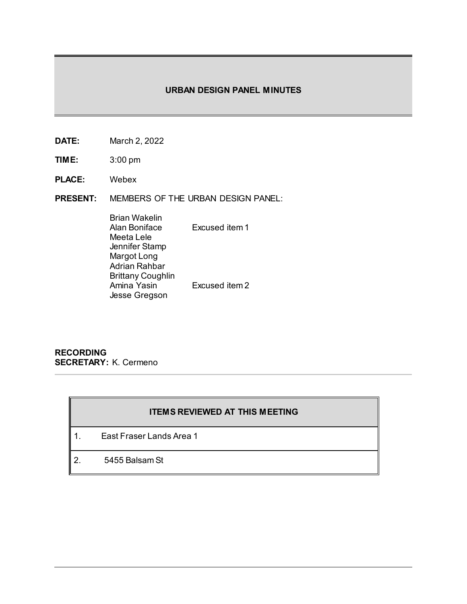# **URBAN DESIGN PANEL MINUTES**

- **DATE:** March 2, 2022
- **TIME:** 3:00 pm
- **PLACE:** Webex
- **PRESENT:** MEMBERS OF THE URBAN DESIGN PANEL:

| Brian Wakelin     |                |
|-------------------|----------------|
| Alan Boniface     | Excused item 1 |
| Meeta Lele        |                |
| Jennifer Stamp    |                |
| Margot Long       |                |
| Adrian Rahbar     |                |
| Brittany Coughlin |                |
| Amina Yasin       | Excused item 2 |
| Jesse Gregson     |                |
|                   |                |

**RECORDING SECRETARY:** K. Cermeno

# **ITEMS REVIEWED AT THIS MEETING**

- 1. East Fraser Lands Area 1
- 2. 5455 Balsam St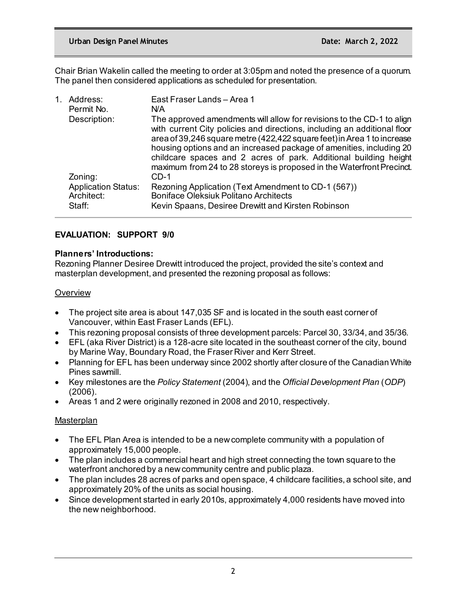Chair Brian Wakelin called the meeting to order at 3:05pm and noted the presence of a quorum. The panel then considered applications as scheduled for presentation.

| Address:<br>Permit No.                   | East Fraser Lands - Area 1<br>N/A                                                                                                                                                                                                                                                                                                                                                                                                                |
|------------------------------------------|--------------------------------------------------------------------------------------------------------------------------------------------------------------------------------------------------------------------------------------------------------------------------------------------------------------------------------------------------------------------------------------------------------------------------------------------------|
| Description:                             | The approved amendments will allow for revisions to the CD-1 to align<br>with current City policies and directions, including an additional floor<br>area of 39,246 square metre (422,422 square feet) in Area 1 to increase<br>housing options and an increased package of amenities, including 20<br>childcare spaces and 2 acres of park. Additional building height<br>maximum from 24 to 28 storeys is proposed in the Waterfront Precinct. |
| Zoning:                                  | $CD-1$                                                                                                                                                                                                                                                                                                                                                                                                                                           |
| <b>Application Status:</b><br>Architect: | Rezoning Application (Text Amendment to CD-1 (567))<br><b>Boniface Oleksiuk Politano Architects</b>                                                                                                                                                                                                                                                                                                                                              |
| Staff:                                   | Kevin Spaans, Desiree Drewitt and Kirsten Robinson                                                                                                                                                                                                                                                                                                                                                                                               |

# **EVALUATION: SUPPORT 9/0**

# **Planners' Introductions:**

Rezoning Planner Desiree Drewitt introduced the project, provided the site's context and masterplan development, and presented the rezoning proposal as follows:

# **Overview**

- The project site area is about 147,035 SF and is located in the south east corner of Vancouver, within East Fraser Lands (EFL).
- This rezoning proposal consists of three development parcels: Parcel 30, 33/34, and 35/36.
- EFL (aka River District) is a 128-acre site located in the southeast corner of the city, bound by Marine Way, Boundary Road, the Fraser River and Kerr Street.
- Planning for EFL has been underway since 2002 shortly after closure of the Canadian White Pines sawmill.
- Key milestones are the *Policy Statement* (2004), and the *Official Development Plan* (*ODP*) (2006).
- Areas 1 and 2 were originally rezoned in 2008 and 2010, respectively.

# **Masterplan**

- The EFL Plan Area is intended to be a new complete community with a population of approximately 15,000 people.
- The plan includes a commercial heart and high street connecting the town square to the waterfront anchored by a new community centre and public plaza.
- The plan includes 28 acres of parks and open space, 4 childcare facilities, a school site, and approximately 20% of the units as social housing.
- Since development started in early 2010s, approximately 4,000 residents have moved into the new neighborhood.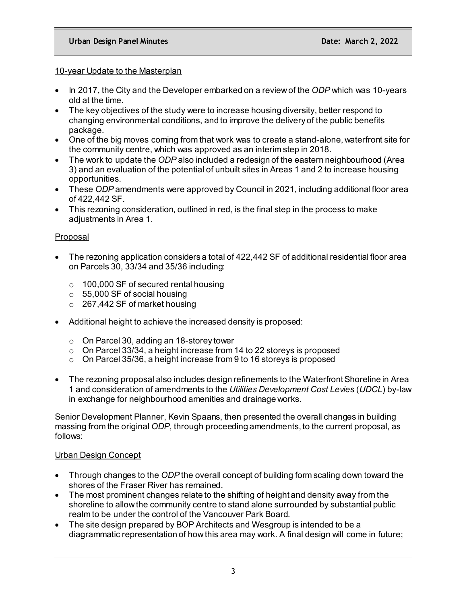# 10-year Update to the Masterplan

- In 2017, the City and the Developer embarked on a review of the *ODP* which was 10-years old at the time.
- The key objectives of the study were to increase housing diversity, better respond to changing environmental conditions, and to improve the delivery of the public benefits package.
- One of the big moves coming from that work was to create a stand-alone, waterfront site for the community centre, which was approved as an interim step in 2018.
- The work to update the *ODP* also included a redesign of the eastern neighbourhood (Area 3) and an evaluation of the potential of unbuilt sites in Areas 1 and 2 to increase housing opportunities.
- These *ODP* amendments were approved by Council in 2021, including additional floor area of 422,442 SF.
- This rezoning consideration, outlined in red, is the final step in the process to make adiustments in Area 1.

# Proposal

- The rezoning application considers a total of 422,442 SF of additional residential floor area on Parcels 30, 33/34 and 35/36 including:
	- $\circ$  100,000 SF of secured rental housing
	- $\circ$  55,000 SF of social housing
	- $\circ$  267,442 SF of market housing
- Additional height to achieve the increased density is proposed:
	- o On Parcel 30, adding an 18-storey tower
	- $\circ$  On Parcel 33/34, a height increase from 14 to 22 storeys is proposed
	- o On Parcel 35/36, a height increase from 9 to 16 storeys is proposed
- The rezoning proposal also includes design refinements to the Waterfront Shoreline in Area 1 and consideration of amendments to the *Utilities Development Cost Levies* (*UDCL*) by-law in exchange for neighbourhood amenities and drainage works.

Senior Development Planner, Kevin Spaans, then presented the overall changes in building massing from the original *ODP*, through proceeding amendments, to the current proposal, as follows:

# Urban Design Concept

- Through changes to the *ODP* the overall concept of building form scaling down toward the shores of the Fraser River has remained.
- The most prominent changes relate to the shifting of height and density away from the shoreline to allow the community centre to stand alone surrounded by substantial public realm to be under the control of the Vancouver Park Board.
- The site design prepared by BOP Architects and Wesgroup is intended to be a diagrammatic representation of how this area may work. A final design will come in future;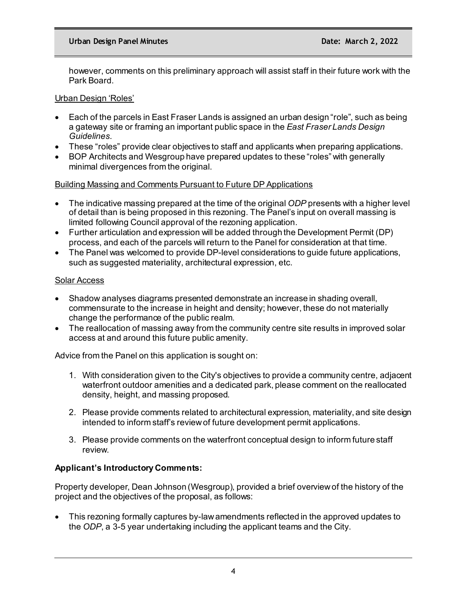however, comments on this preliminary approach will assist staff in their future work with the Park Board.

# Urban Design 'Roles'

- Each of the parcels in East Fraser Lands is assigned an urban design "role", such as being a gateway site or framing an important public space in the *East Fraser Lands Design Guidelines*.
- These "roles" provide clear objectives to staff and applicants when preparing applications.
- BOP Architects and Wesgroup have prepared updates to these "roles" with generally minimal divergences from the original.

# Building Massing and Comments Pursuant to Future DP Applications

- The indicative massing prepared at the time of the original *ODP* presents with a higher level of detail than is being proposed in this rezoning. The Panel's input on overall massing is limited following Council approval of the rezoning application.
- Further articulation and expression will be added through the Development Permit (DP) process, and each of the parcels will return to the Panel for consideration at that time.
- The Panel was welcomed to provide DP-level considerations to quide future applications, such as suggested materiality, architectural expression, etc.

# Solar Access

- Shadow analyses diagrams presented demonstrate an increase in shading overall, commensurate to the increase in height and density; however, these do not materially change the performance of the public realm.
- The reallocation of massing away from the community centre site results in improved solar access at and around this future public amenity.

Advice from the Panel on this application is sought on:

- 1. With consideration given to the City's objectives to provide a community centre, adjacent waterfront outdoor amenities and a dedicated park, please comment on the reallocated density, height, and massing proposed.
- 2. Please provide comments related to architectural expression, materiality, and site design intended to inform staff's review of future development permit applications.
- 3. Please provide comments on the waterfront conceptual design to inform future staff review.

# **Applicant's Introductory Comments:**

Property developer, Dean Johnson (Wesgroup), provided a brief overview of the history of the project and the objectives of the proposal, as follows:

• This rezoning formally captures by-law amendments reflected in the approved updates to the *ODP*, a 3-5 year undertaking including the applicant teams and the City.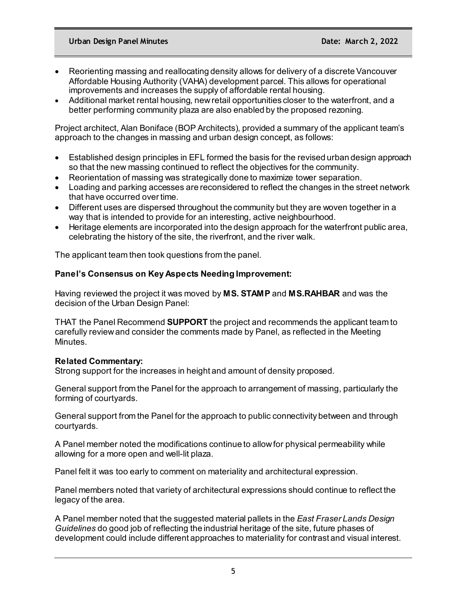- Reorienting massing and reallocating density allows for delivery of a discrete Vancouver Affordable Housing Authority (VAHA) development parcel. This allows for operational improvements and increases the supply of affordable rental housing.
- Additional market rental housing, new retail opportunities closer to the waterfront, and a better performing community plaza are also enabled by the proposed rezoning.

Project architect, Alan Boniface (BOP Architects), provided a summary of the applicant team's approach to the changes in massing and urban design concept, as follows:

- Established design principles in EFL formed the basis for the revised urban design approach so that the new massing continued to reflect the objectives for the community.
- Reorientation of massing was strategically done to maximize tower separation.
- Loading and parking accesses are reconsidered to reflect the changes in the street network that have occurred over time.
- Different uses are dispersed throughout the community but they are woven together in a way that is intended to provide for an interesting, active neighbourhood.
- Heritage elements are incorporated into the design approach for the waterfront public area, celebrating the history of the site, the riverfront, and the river walk.

The applicant team then took questions from the panel.

# **Panel's Consensus on Key Aspects Needing Improvement:**

Having reviewed the project it was moved by **MS. STAMP** and **MS.RAHBAR** and was the decision of the Urban Design Panel:

THAT the Panel Recommend **SUPPORT** the project and recommends the applicant team to carefully review and consider the comments made by Panel, as reflected in the Meeting Minutes.

# **Related Commentary:**

Strong support for the increases in height and amount of density proposed.

General support from the Panel for the approach to arrangement of massing, particularly the forming of courtyards.

General support from the Panel for the approach to public connectivity between and through courtyards.

A Panel member noted the modifications continue to allow for physical permeability while allowing for a more open and well-lit plaza.

Panel felt it was too early to comment on materiality and architectural expression.

Panel members noted that variety of architectural expressions should continue to reflect the legacy of the area.

A Panel member noted that the suggested material pallets in the *East Fraser Lands Design Guidelines* do good job of reflecting the industrial heritage of the site, future phases of development could include different approaches to materiality for contrast and visual interest.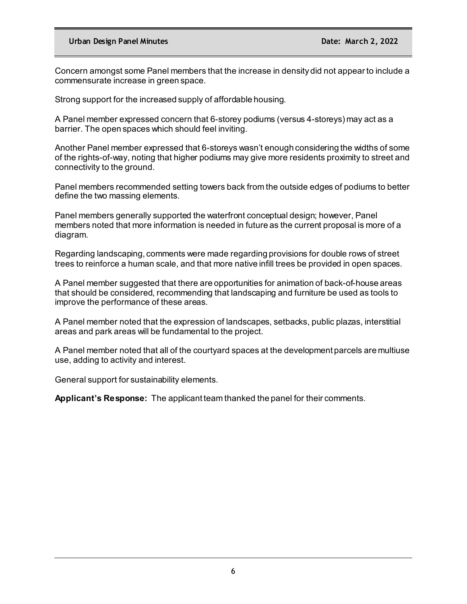Concern amongst some Panel members that the increase in density did not appear to include a commensurate increase in green space.

Strong support for the increased supply of affordable housing.

A Panel member expressed concern that 6-storey podiums (versus 4-storeys) may act as a barrier. The open spaces which should feel inviting.

Another Panel member expressed that 6-storeys wasn't enough considering the widths of some of the rights-of-way, noting that higher podiums may give more residents proximity to street and connectivity to the ground.

Panel members recommended setting towers back from the outside edges of podiums to better define the two massing elements.

Panel members generally supported the waterfront conceptual design; however, Panel members noted that more information is needed in future as the current proposal is more of a diagram.

Regarding landscaping, comments were made regarding provisions for double rows of street trees to reinforce a human scale, and that more native infill trees be provided in open spaces.

A Panel member suggested that there are opportunities for animation of back-of-house areas that should be considered, recommending that landscaping and furniture be used as tools to improve the performance of these areas.

A Panel member noted that the expression of landscapes, setbacks, public plazas, interstitial areas and park areas will be fundamental to the project.

A Panel member noted that all of the courtyard spaces at the development parcels are multiuse use, adding to activity and interest.

General support for sustainability elements.

**Applicant's Response:** The applicant team thanked the panel for their comments.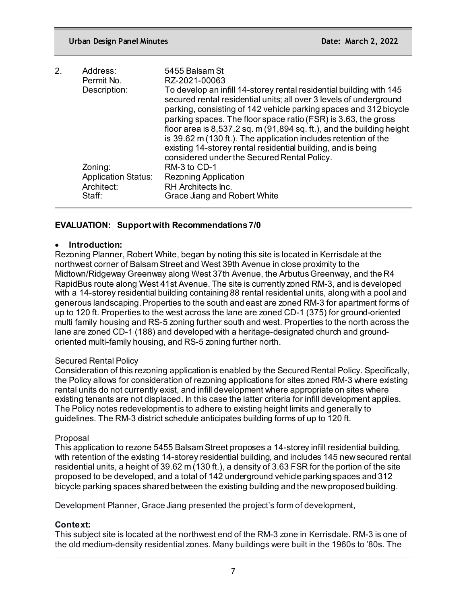| 2. | Address:<br>Permit No.                   | 5455 Balsam St<br>RZ-2021-00063                                                                                                                                                                                                                                                                                                                                                                                                                                                                                                                 |
|----|------------------------------------------|-------------------------------------------------------------------------------------------------------------------------------------------------------------------------------------------------------------------------------------------------------------------------------------------------------------------------------------------------------------------------------------------------------------------------------------------------------------------------------------------------------------------------------------------------|
|    | Description:                             | To develop an infill 14-storey rental residential building with 145<br>secured rental residential units; all over 3 levels of underground<br>parking, consisting of 142 vehicle parking spaces and 312 bicycle<br>parking spaces. The floor space ratio (FSR) is 3.63, the gross<br>floor area is $8,537.2$ sq. m $(91,894$ sq. ft.), and the building height<br>is 39.62 m (130 ft.). The application includes retention of the<br>existing 14-storey rental residential building, and is being<br>considered under the Secured Rental Policy. |
|    | Zoning:                                  | RM-3 to CD-1                                                                                                                                                                                                                                                                                                                                                                                                                                                                                                                                    |
|    | <b>Application Status:</b><br>Architect: | <b>Rezoning Application</b><br>RH Architects Inc.                                                                                                                                                                                                                                                                                                                                                                                                                                                                                               |
|    | Staff:                                   | Grace Jiang and Robert White                                                                                                                                                                                                                                                                                                                                                                                                                                                                                                                    |

# **EVALUATION: Support with Recommendations 7/0**

### • **Introduction:**

Rezoning Planner, Robert White, began by noting this site is located in Kerrisdale at the northwest corner of Balsam Street and West 39th Avenue in close proximity to the Midtown/Ridgeway Greenway along West 37th Avenue, the Arbutus Greenway, and the R4 RapidBus route along West 41st Avenue. The site is currently zoned RM-3, and is developed with a 14-storey residential building containing 88 rental residential units, along with a pool and generous landscaping. Properties to the south and east are zoned RM-3 for apartment forms of up to 120 ft. Properties to the west across the lane are zoned CD-1 (375) for ground-oriented multi family housing and RS-5 zoning further south and west. Properties to the north across the lane are zoned CD-1 (188) and developed with a heritage-designated church and groundoriented multi-family housing, and RS-5 zoning further north.

# Secured Rental Policy

Consideration of this rezoning application is enabled by the Secured Rental Policy. Specifically, the Policy allows for consideration of rezoning applications for sites zoned RM-3 where existing rental units do not currently exist, and infill development where appropriate on sites where existing tenants are not displaced. In this case the latter criteria for infill development applies. The Policy notes redevelopment is to adhere to existing height limits and generally to guidelines. The RM-3 district schedule anticipates building forms of up to 120 ft.

#### Proposal

This application to rezone 5455 Balsam Street proposes a 14-storey infill residential building, with retention of the existing 14-storey residential building, and includes 145 new secured rental residential units, a height of 39.62 m (130 ft.), a density of 3.63 FSR for the portion of the site proposed to be developed, and a total of 142 underground vehicle parking spaces and 312 bicycle parking spaces shared between the existing building and the new proposed building.

Development Planner, Grace Jiang presented the project's form of development,

# **Context:**

This subject site is located at the northwest end of the RM-3 zone in Kerrisdale. RM-3 is one of the old medium-density residential zones. Many buildings were built in the 1960s to '80s. The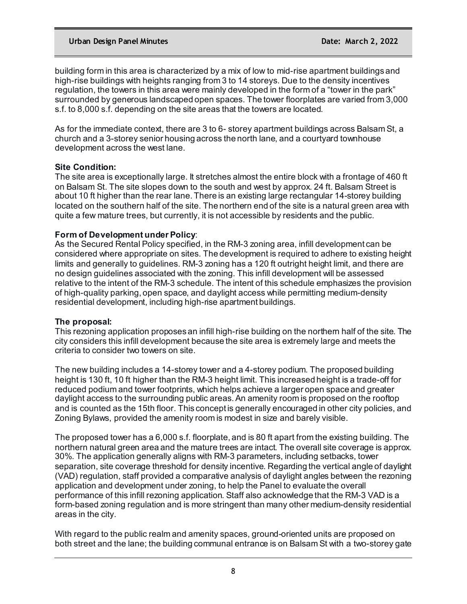building form in this area is characterized by a mix of low to mid-rise apartment buildings and high-rise buildings with heights ranging from 3 to 14 storeys. Due to the density incentives regulation, the towers in this area were mainly developed in the form of a "tower in the park" surrounded by generous landscaped open spaces. The tower floorplates are varied from 3,000 s.f. to 8,000 s.f. depending on the site areas that the towers are located.

As for the immediate context, there are 3 to 6- storey apartment buildings across Balsam St, a church and a 3-storey senior housing across the north lane, and a courtyard townhouse development across the west lane.

# **Site Condition:**

The site area is exceptionally large. It stretches almost the entire block with a frontage of 460 ft on Balsam St. The site slopes down to the south and west by approx. 24 ft. Balsam Street is about 10 ft higher than the rear lane. There is an existing large rectangular 14-storey building located on the southern half of the site. The northern end of the site is a natural green area with quite a few mature trees, but currently, it is not accessible by residents and the public.

# **Form of Development under Policy**:

As the Secured Rental Policy specified, in the RM-3 zoning area, infill development can be considered where appropriate on sites. The development is required to adhere to existing height limits and generally to guidelines. RM-3 zoning has a 120 ft outright height limit, and there are no design guidelines associated with the zoning. This infill development will be assessed relative to the intent of the RM-3 schedule. The intent of this schedule emphasizes the provision of high-quality parking, open space, and daylight access while permitting medium-density residential development, including high-rise apartment buildings.

# **The proposal:**

This rezoning application proposes an infill high-rise building on the northern half of the site. The city considers this infill development because the site area is extremely large and meets the criteria to consider two towers on site.

The new building includes a 14-storey tower and a 4-storey podium. The proposed building height is 130 ft, 10 ft higher than the RM-3 height limit. This increased height is a trade-off for reduced podium and tower footprints, which helps achieve a larger open space and greater daylight access to the surrounding public areas. An amenity room is proposed on the rooftop and is counted as the 15th floor. This concept is generally encouraged in other city policies, and Zoning Bylaws, provided the amenity room is modest in size and barely visible.

The proposed tower has a 6,000 s.f. floorplate, and is 80 ft apart from the existing building. The northern natural green area and the mature trees are intact. The overall site coverage is approx. 30%. The application generally aligns with RM-3 parameters, including setbacks, tower separation, site coverage threshold for density incentive. Regarding the vertical angle of daylight (VAD) regulation, staff provided a comparative analysis of daylight angles between the rezoning application and development under zoning, to help the Panel to evaluate the overall performance of this infill rezoning application. Staff also acknowledge that the RM-3 VAD is a form-based zoning regulation and is more stringent than many other medium-density residential areas in the city.

With regard to the public realm and amenity spaces, ground-oriented units are proposed on both street and the lane; the building communal entrance is on Balsam St with a two-storey gate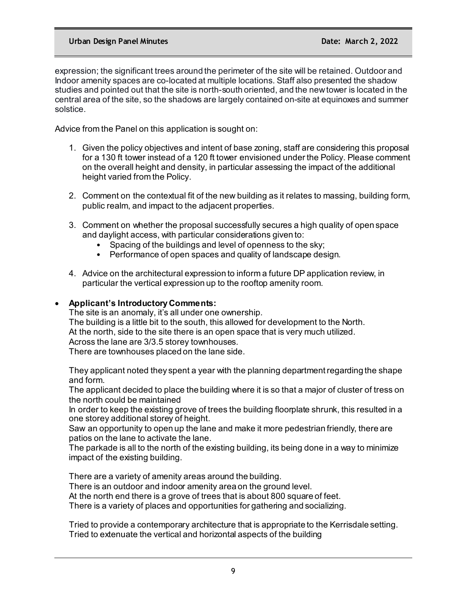expression; the significant trees around the perimeter of the site will be retained. Outdoor and Indoor amenity spaces are co-located at multiple locations. Staff also presented the shadow studies and pointed out that the site is north-south oriented, and the new tower is located in the central area of the site, so the shadows are largely contained on-site at equinoxes and summer solstice.

Advice from the Panel on this application is sought on:

- 1. Given the policy objectives and intent of base zoning, staff are considering this proposal for a 130 ft tower instead of a 120 ft tower envisioned under the Policy. Please comment on the overall height and density, in particular assessing the impact of the additional height varied from the Policy.
- 2. Comment on the contextual fit of the new building as it relates to massing, building form, public realm, and impact to the adjacent properties.
- 3. Comment on whether the proposal successfully secures a high quality of open space and daylight access, with particular considerations given to:
	- Spacing of the buildings and level of openness to the sky;
	- Performance of open spaces and quality of landscape design.
- 4. Advice on the architectural expression to inform a future DP application review, in particular the vertical expression up to the rooftop amenity room.

# • **Applicant's Introductory Comments:**

The site is an anomaly, it's all under one ownership. The building is a little bit to the south, this allowed for development to the North. At the north, side to the site there is an open space that is very much utilized. Across the lane are 3/3.5 storey townhouses. There are townhouses placed on the lane side.

They applicant noted they spent a year with the planning department regarding the shape and form.

The applicant decided to place the building where it is so that a major of cluster of tress on the north could be maintained

In order to keep the existing grove of trees the building floorplate shrunk, this resulted in a one storey additional storey of height.

Saw an opportunity to open up the lane and make it more pedestrian friendly, there are patios on the lane to activate the lane.

The parkade is all to the north of the existing building, its being done in a way to minimize impact of the existing building.

There are a variety of amenity areas around the building.

There is an outdoor and indoor amenity area on the ground level.

At the north end there is a grove of trees that is about 800 square of feet.

There is a variety of places and opportunities for gathering and socializing.

Tried to provide a contemporary architecture that is appropriate to the Kerrisdale setting. Tried to extenuate the vertical and horizontal aspects of the building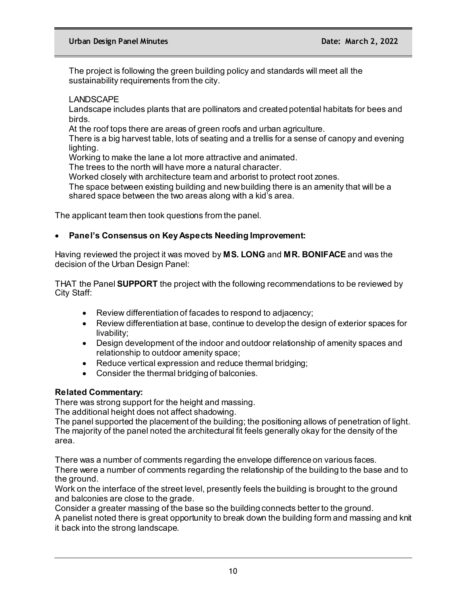The project is following the green building policy and standards will meet all the sustainability requirements from the city.

# LANDSCAPE

Landscape includes plants that are pollinators and created potential habitats for bees and birds.

At the roof tops there are areas of green roofs and urban agriculture.

There is a big harvest table, lots of seating and a trellis for a sense of canopy and evening lighting.

Working to make the lane a lot more attractive and animated.

The trees to the north will have more a natural character.

Worked closely with architecture team and arborist to protect root zones.

The space between existing building and new building there is an amenity that will be a shared space between the two areas along with a kid's area.

The applicant team then took questions from the panel.

# • **Panel's Consensus on Key Aspects Needing Improvement:**

Having reviewed the project it was moved by **MS. LONG** and **MR. BONIFACE** and was the decision of the Urban Design Panel:

THAT the Panel **SUPPORT** the project with the following recommendations to be reviewed by City Staff:

- Review differentiation of facades to respond to adjacency;
- Review differentiation at base, continue to develop the design of exterior spaces for livability;
- Design development of the indoor and outdoor relationship of amenity spaces and relationship to outdoor amenity space;
- Reduce vertical expression and reduce thermal bridging;
- Consider the thermal bridging of balconies.

# **Related Commentary:**

There was strong support for the height and massing.

The additional height does not affect shadowing.

The panel supported the placement of the building; the positioning allows of penetration of light. The majority of the panel noted the architectural fit feels generally okay for the density of the area.

There was a number of comments regarding the envelope difference on various faces. There were a number of comments regarding the relationship of the building to the base and to the ground.

Work on the interface of the street level, presently feels the building is brought to the ground and balconies are close to the grade.

Consider a greater massing of the base so the building connects better to the ground.

A panelist noted there is great opportunity to break down the building form and massing and knit it back into the strong landscape.